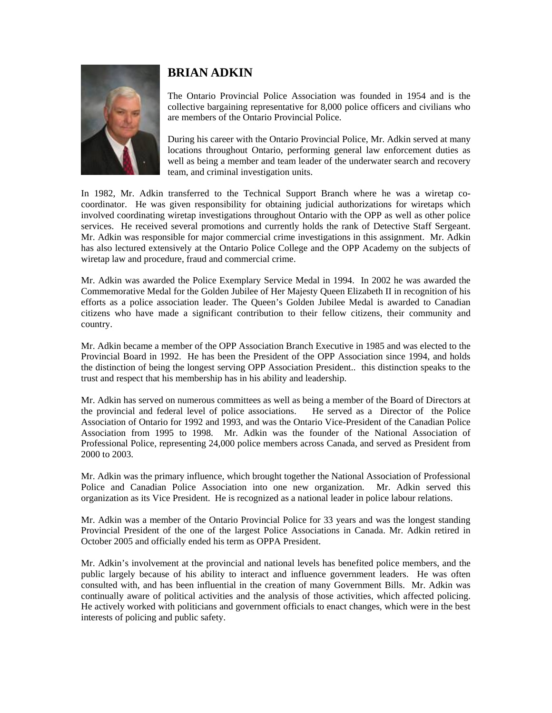

## **BRIAN ADKIN**

The Ontario Provincial Police Association was founded in 1954 and is the collective bargaining representative for 8,000 police officers and civilians who are members of the Ontario Provincial Police.

During his career with the Ontario Provincial Police, Mr. Adkin served at many locations throughout Ontario, performing general law enforcement duties as well as being a member and team leader of the underwater search and recovery team, and criminal investigation units.

In 1982, Mr. Adkin transferred to the Technical Support Branch where he was a wiretap cocoordinator. He was given responsibility for obtaining judicial authorizations for wiretaps which involved coordinating wiretap investigations throughout Ontario with the OPP as well as other police services. He received several promotions and currently holds the rank of Detective Staff Sergeant. Mr. Adkin was responsible for major commercial crime investigations in this assignment. Mr. Adkin has also lectured extensively at the Ontario Police College and the OPP Academy on the subjects of wiretap law and procedure, fraud and commercial crime.

Mr. Adkin was awarded the Police Exemplary Service Medal in 1994. In 2002 he was awarded the Commemorative Medal for the Golden Jubilee of Her Majesty Queen Elizabeth II in recognition of his efforts as a police association leader. The Queen's Golden Jubilee Medal is awarded to Canadian citizens who have made a significant contribution to their fellow citizens, their community and country.

Mr. Adkin became a member of the OPP Association Branch Executive in 1985 and was elected to the Provincial Board in 1992. He has been the President of the OPP Association since 1994, and holds the distinction of being the longest serving OPP Association President.. this distinction speaks to the trust and respect that his membership has in his ability and leadership.

Mr. Adkin has served on numerous committees as well as being a member of the Board of Directors at the provincial and federal level of police associations. He served as a Director of the Police the provincial and federal level of police associations. Association of Ontario for 1992 and 1993, and was the Ontario Vice-President of the Canadian Police Association from 1995 to 1998. Mr. Adkin was the founder of the National Association of Professional Police, representing 24,000 police members across Canada, and served as President from 2000 to 2003.

Mr. Adkin was the primary influence, which brought together the National Association of Professional Police and Canadian Police Association into one new organization. Mr. Adkin served this organization as its Vice President. He is recognized as a national leader in police labour relations.

Mr. Adkin was a member of the Ontario Provincial Police for 33 years and was the longest standing Provincial President of the one of the largest Police Associations in Canada. Mr. Adkin retired in October 2005 and officially ended his term as OPPA President.

Mr. Adkin's involvement at the provincial and national levels has benefited police members, and the public largely because of his ability to interact and influence government leaders. He was often consulted with, and has been influential in the creation of many Government Bills. Mr. Adkin was continually aware of political activities and the analysis of those activities, which affected policing. He actively worked with politicians and government officials to enact changes, which were in the best interests of policing and public safety.